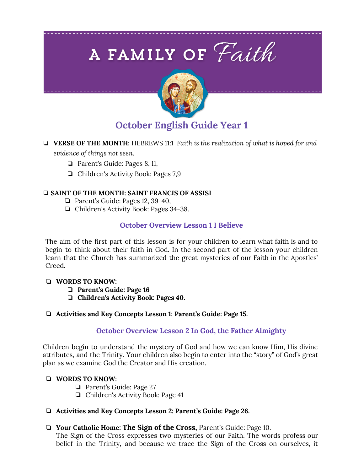# A FAMILY OF Faith



# **October English Guide Year 1**

- ❏ **VERSE OF THE MONTH:** HEBREWS 11:1 *Faith is the realization of what is hoped for and evidence of things not seen.*
	- ❏ Parent's Guide: Pages 8, 11,
	- ❏ Children's Activity Book: Pages 7,9

# ❏ **SAINT OF THE MONTH: SAINT FRANCIS OF ASSISI**

- ❏ Parent's Guide: Pages 12, 39-40,
- ❏ Children's Activity Book: Pages 34-38.

# **October Overview Lesson 1 I Believe**

The aim of the first part of this lesson is for your children to learn what faith is and to begin to think about their faith in God. In the second part of the lesson your children learn that the Church has summarized the great mysteries of our Faith in the Apostles' Creed.

# ❏ **WORDS TO KNOW:**

- ❏ **Parent's Guide: Page 16**
- ❏ **Children's Activity Book: Pages 40.**

# ❏ **Activities and Key Concepts Lesson 1: Parent's Guide: Page 15.**

# **October Overview Lesson 2 In God, the Father Almighty**

Children begin to understand the mystery of God and how we can know Him, His divine attributes, and the Trinity. Your children also begin to enter into the "story" of God's great plan as we examine God the Creator and His creation.

# ❏ **WORDS TO KNOW:**

- ❏ Parent's Guide: Page 27
- ❏ Children's Activity Book: Page 41

# ❏ **Activities and Key Concepts Lesson 2: Parent's Guide: Page 26.**

❏ **Your Catholic Home: The Sign of the Cross,** Parent's Guide: Page 10.

The Sign of the Cross expresses two mysteries of our Faith. The words profess our belief in the Trinity, and because we trace the Sign of the Cross on ourselves, it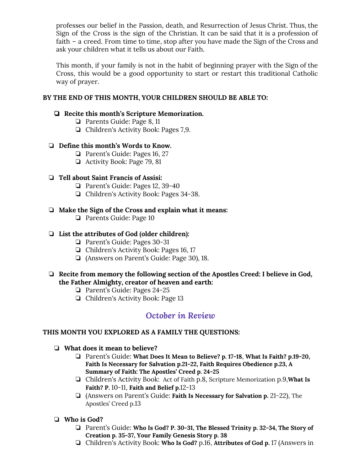professes our belief in the Passion, death, and Resurrection of Jesus Christ. Thus, the Sign of the Cross is the sign of the Christian. It can be said that it is a profession of faith – a creed. From time to time, stop after you have made the Sign of the Cross and ask your children what it tells us about our Faith.

This month, if your family is not in the habit of beginning prayer with the Sign of the Cross, this would be a good opportunity to start or restart this traditional Catholic way of prayer.

### **BY THE END OF THIS MONTH, YOUR CHILDREN SHOULD BE ABLE TO:**

#### ❏ **Recite this month's Scripture Memorization.**

- ❏ Parents Guide: Page 8, 11
- ❏ Children's Activity Book: Pages 7,9.

#### ❏ **Define this month's Words to Know.**

- ❏ Parent's Guide: Pages 16, 27
- ❏ Activity Book: Page 79, 81

#### ❏ **Tell about Saint Francis of Assisi:**

- ❏ Parent's Guide: Pages 12, 39-40
- ❏ Children's Activity Book: Pages 34-38.

#### ❏ **Make the Sign of the Cross and explain what it means:**

❏ Parents Guide: Page 10

#### ❏ **List the attributes of God (older children):**

- ❏ Parent's Guide: Pages 30-31
- ❏ Children's Activity Book: Pages 16, 17
- ❏ (Answers on Parent's Guide: Page 30), 18.

#### ❏ **Recite from memory the following section of the Apostles Creed: I believe in God, the Father Almighty, creator of heaven and earth:**

- ❏ Parent's Guide: Pages 24-25
- ❏ Children's Activity Book: Page 13

# *October in Review*

#### **THIS MONTH YOU EXPLORED AS A FAMILY THE QUESTIONS:**

- ❏ **What does it mean to believe?**
	- ❏ Parent's Guide: **What Does It Mean to Believe? p. 17-18**, **What Is Faith? p.19-20, Faith Is Necessary for Salvation p.21-22, Faith Requires Obedience p.23, A Summary of Faith: The Apostles' Creed p. 24-25**
	- ❏ Children's Activity Book: Act of Faith p.8, Scripture Memorization p.9,**What Is Faith? P.** 10-11, **Faith and Belief p.**12-13
	- ❏ (Answers on Parent's Guide: **Faith Is Necessary for Salvation p.** 21-22), The Apostles' Creed p.13
- ❏ **Who is God?**
	- ❏ Parent's Guide: **Who Is God? P. 30-31, The Blessed Trinity p. 32-34, The Story of Creation p. 35-37, Your Family Genesis Story p. 38**
	- ❏ Children's Activity Book: **Who Is God?** p.16, **Attributes of God p.** 17 (Answers in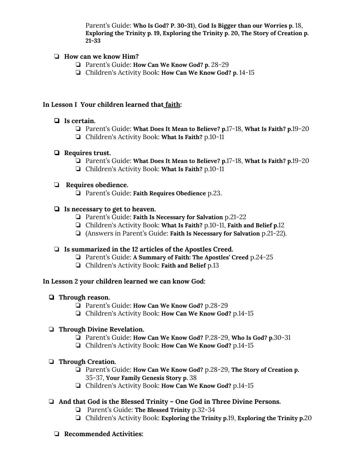Parent's Guide: **Who Is God? P. 30-31**), **God Is Bigger than our Worries p.** 18, **Exploring the Trinity p. 19, Exploring the Trinity p. 20, The Story of Creation p. 21-33**

### ❏ **How can we know Him?**

- ❏ Parent's Guide: **How Can We Know God? p.** 28-29
- ❏ Children's Activity Book: **How Can We Know God? p.** 14-15

#### **In Lesson I Your children learned that faith:**

#### ❏ **Is certain.**

- ❏ Parent's Guide: **What Does It Mean to Believe? p.**17-18, **What Is Faith? p.**19-20
- ❏ Children's Activity Book: **What Is Faith?** p.10-11

#### ❏ **Requires trust.**

- ❏ Parent's Guide: **What Does It Mean to Believe? p.**17-18, **What Is Faith? p.**19-20
- ❏ Children's Activity Book: **What Is Faith?** p.10-11

#### ❏ **Requires obedience.**

❏ Parent's Guide: **Faith Requires Obedience** p.23.

#### ❏ **Is necessary to get to heaven.**

- ❏ Parent's Guide: **Faith Is Necessary for Salvation** p.21-22
- ❏ Children's Activity Book: **What Is Faith?** p.10-11, **Faith and Belief p.**12
- ❏ (Answers in Parent's Guide: **Faith Is Necessary for Salvation** p.21-22).

#### ❏ **Is summarized in the 12 articles of the Apostles Creed.**

- ❏ Parent's Guide: **A Summary of Faith: The Apostles' Creed** p.24-25
- ❏ Children's Activity Book: **Faith and Belief** p.13

#### **In Lesson 2 your children learned we can know God:**

# ❏ **Through reason.**

- ❏ Parent's Guide: **How Can We Know God?** p.28-29
- ❏ Children's Activity Book: **How Can We Know God?** p.14-15

# ❏ **Through Divine Revelation.**

- ❏ Parent's Guide: **How Can We Know God?** P.28-29, **Who Is God? p.**30-31
- ❏ Children's Activity Book: **How Can We Know God?** p.14-15

# ❏ **Through Creation.**

- ❏ Parent's Guide: **How Can We Know God?** p.28-29, **The Story of Creation p.** 35-37, **Your Family Genesis Story p.** 38
- ❏ Children's Activity Book: **How Can We Know God?** p.14-15

# ❏ **And that God is the Blessed Trinity – One God in Three Divine Persons.**

- ❏ Parent's Guide: **The Blessed Trinity** p.32-34
- ❏ Children's Activity Book: **Exploring the Trinity p.**19, **Exploring the Trinity p.**20

# ❏ **Recommended Activities:**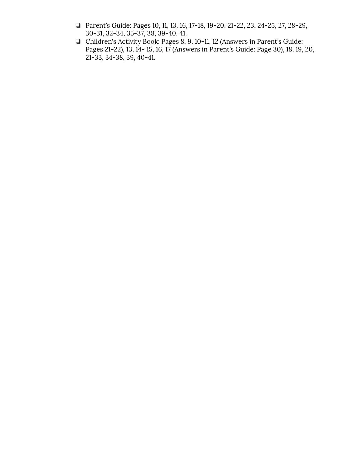- ❏ Parent's Guide: Pages 10, 11, 13, 16, 17-18, 19-20, 21-22, 23, 24-25, 27, 28-29, 30-31, 32-34, 35-37, 38, 39-40, 41.
- ❏ Children's Activity Book: Pages 8, 9, 10-11, 12 (Answers in Parent's Guide: Pages 21-22), 13, 14- 15, 16, 17 (Answers in Parent's Guide: Page 30), 18, 19, 20, 21-33, 34-38, 39, 40-41.